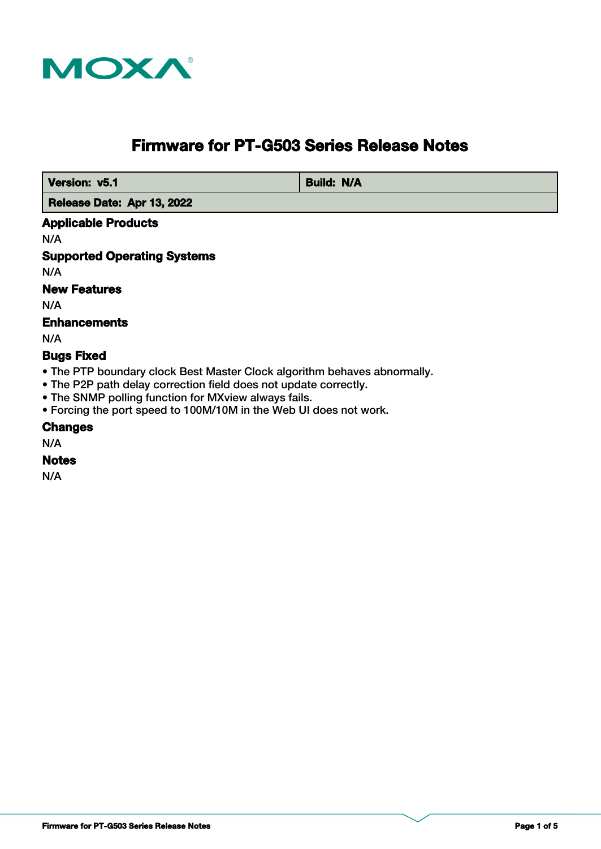

# **Firmware for PT-G503 Series Release Notes**

 **Version: v5.1 Build: N/A** 

 **Release Date: Apr 13, 2022**

## **Applicable Products**

N/A

# **Supported Operating Systems**

N/A

# **New Features**

N/A

# **Enhancements**

N/A

## **Bugs Fixed**

- The PTP boundary clock Best Master Clock algorithm behaves abnormally.
- The P2P path delay correction field does not update correctly.
- The SNMP polling function for MXview always fails.
- Forcing the port speed to 100M/10M in the Web UI does not work.

#### **Changes**

N/A

## **Notes**

N/A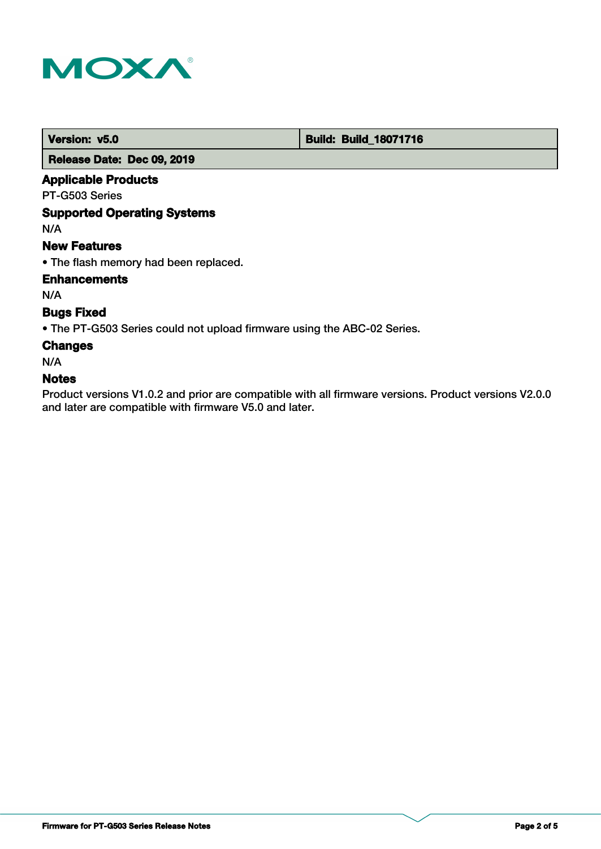

 **Version: v5.0 Build: Build: Build: Build: 18071716** 

 **Release Date: Dec 09, 2019**

# **Applicable Products**

PT-G503 Series

## **Supported Operating Systems**

N/A

#### **New Features**

• The flash memory had been replaced.

**Enhancements**

N/A

## **Bugs Fixed**

• The PT-G503 Series could not upload firmware using the ABC-02 Series.

## **Changes**

N/A

#### **Notes**

Product versions V1.0.2 and prior are compatible with all firmware versions. Product versions V2.0.0 and later are compatible with firmware V5.0 and later.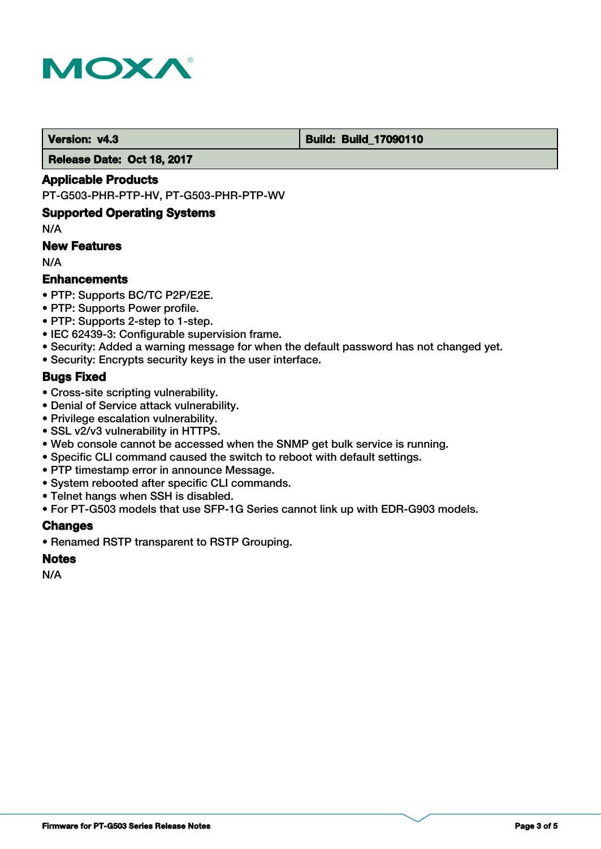

#### **Version: v4.3 Build: Build: Build: 17090110**

 **Release Date: Oct 18, 2017**

#### **Applicable Products**

PT-G503-PHR-PTP-HV, PT-G503-PHR-PTP-WV

#### **Supported Operating Systems**

N/A

## **New Features**

N/A

## **Enhancements**

- PTP: Supports BC/TC P2P/E2E.
- PTP: Supports Power profile.
- PTP: Supports 2-step to 1-step.
- IEC 62439-3: Configurable supervision frame.
- Security: Added a warning message for when the default password has not changed yet.
- Security: Encrypts security keys in the user interface.

## **Bugs Fixed**

- Cross-site scripting vulnerability.
- Denial of Service attack vulnerability.
- Privilege escalation vulnerability.
- SSL v2/v3 vulnerability in HTTPS.
- Web console cannot be accessed when the SNMP get bulk service is running.
- Specific CLI command caused the switch to reboot with default settings.
- PTP timestamp error in announce Message.
- System rebooted after specific CLI commands.
- Telnet hangs when SSH is disabled.
- For PT-G503 models that use SFP-1G Series cannot link up with EDR-G903 models.

#### **Changes**

• Renamed RSTP transparent to RSTP Grouping.

#### **Notes**

N/A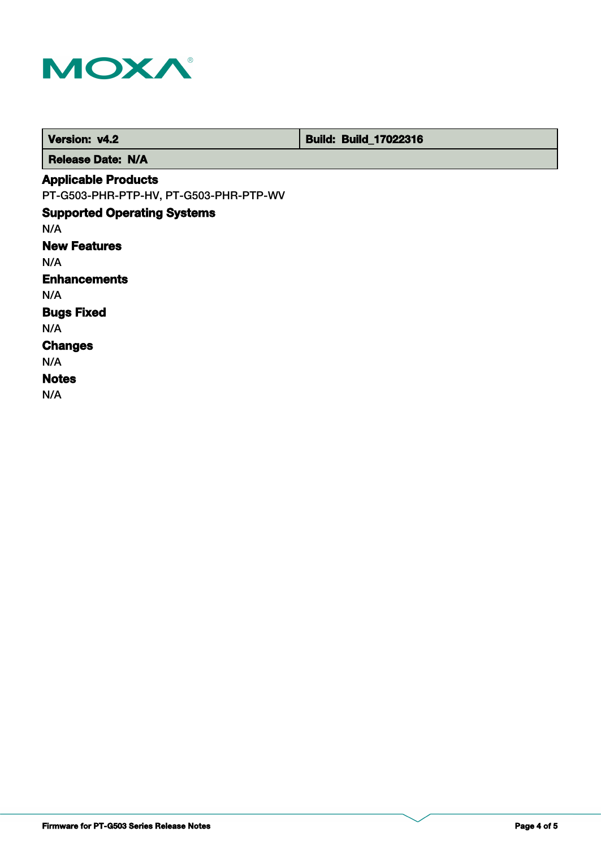

| Version: v4.2                          | <b>Build: Build_17022316</b> |
|----------------------------------------|------------------------------|
| <b>Release Date: N/A</b>               |                              |
| <b>Applicable Products</b>             |                              |
| PT-G503-PHR-PTP-HV, PT-G503-PHR-PTP-WV |                              |
| <b>Supported Operating Systems</b>     |                              |
| N/A                                    |                              |
| <b>New Features</b>                    |                              |
| N/A                                    |                              |
| <b>Enhancements</b>                    |                              |
| N/A                                    |                              |
| <b>Bugs Fixed</b>                      |                              |
| N/A                                    |                              |
| <b>Changes</b>                         |                              |
| N/A                                    |                              |
| <b>Notes</b>                           |                              |
| N/A                                    |                              |
|                                        |                              |